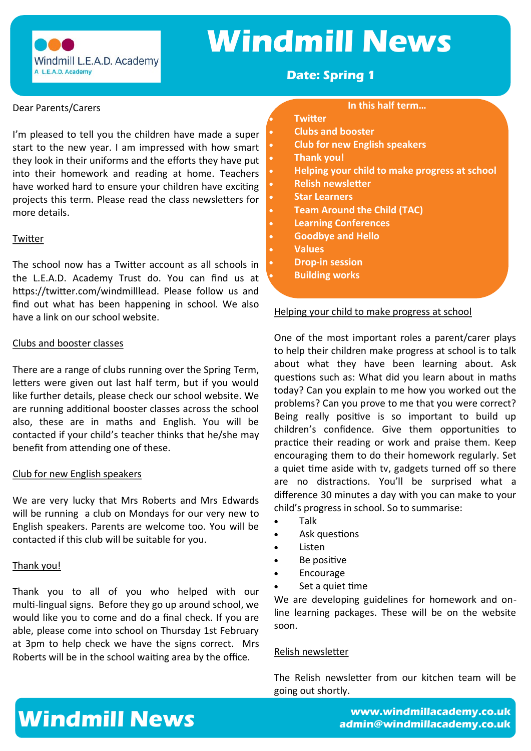# **Windmill News**

Windmill L.E.A.D. Academy A L.E.A.D. Academy

### **Date: Spring 1**

#### Dear Parents/Carers

I'm pleased to tell you the children have made a super start to the new year. I am impressed with how smart they look in their uniforms and the efforts they have put into their homework and reading at home. Teachers have worked hard to ensure your children have exciting projects this term. Please read the class newsletters for more details.

#### **Twitter**

The school now has a Twitter account as all schools in the L.E.A.D. Academy Trust do. You can find us at https://twitter.com/windmilllead. Please follow us and find out what has been happening in school. We also have a link on our school website.

#### Clubs and booster classes

There are a range of clubs running over the Spring Term, letters were given out last half term, but if you would like further details, please check our school website. We are running additional booster classes across the school also, these are in maths and English. You will be contacted if your child's teacher thinks that he/she may benefit from attending one of these.

#### Club for new English speakers

We are very lucky that Mrs Roberts and Mrs Edwards will be running a club on Mondays for our very new to English speakers. Parents are welcome too. You will be contacted if this club will be suitable for you.

#### Thank you!

Thank you to all of you who helped with our multi-lingual signs. Before they go up around school, we would like you to come and do a final check. If you are able, please come into school on Thursday 1st February at 3pm to help check we have the signs correct. Mrs Roberts will be in the school waiting area by the office.

#### **In this half term…**

#### • **Twitter**

- **Clubs and booster**
- **Club for new English speakers**
- **Thank you!**
- **Helping your child to make progress at school**
- **Relish newsletter**
- **Star Learners**
- **Team Around the Child (TAC)**
- **Learning Conferences**
- **Goodbye and Hello**
	- **Values**
	- **Drop-in session**
	- **Building works**

Helping your child to make progress at school

One of the most important roles a parent/carer plays to help their children make progress at school is to talk about what they have been learning about. Ask questions such as: What did you learn about in maths today? Can you explain to me how you worked out the problems? Can you prove to me that you were correct? Being really positive is so important to build up children's confidence. Give them opportunities to practice their reading or work and praise them. Keep encouraging them to do their homework regularly. Set a quiet time aside with tv, gadgets turned off so there are no distractions. You'll be surprised what a difference 30 minutes a day with you can make to your child's progress in school. So to summarise:

- Talk
- Ask questions
- Listen
- Be positive
- **Encourage**
- Set a quiet time

We are developing guidelines for homework and online learning packages. These will be on the website soon.

### Relish newsletter

The Relish newsletter from our kitchen team will be going out shortly.

# **www.windmillacademy.co.uk Windmill News admin@windmillacademy.co.uk**